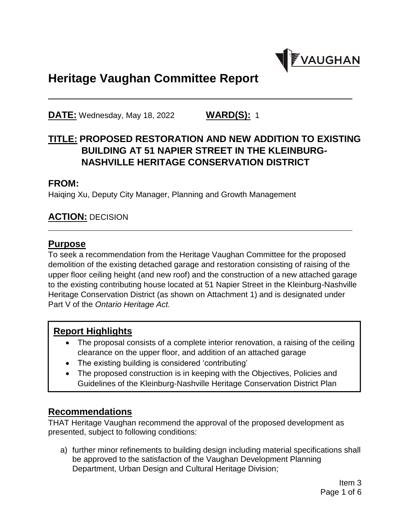

# **Heritage Vaughan Committee Report**

**DATE:** Wednesday, May 18, 2022 **WARD(S):** 1

# **TITLE: PROPOSED RESTORATION AND NEW ADDITION TO EXISTING BUILDING AT 51 NAPIER STREET IN THE KLEINBURG-NASHVILLE HERITAGE CONSERVATION DISTRICT**

#### **FROM:**

Haiqing Xu, Deputy City Manager, Planning and Growth Management

## **ACTION:** DECISION

#### **Purpose**

To seek a recommendation from the Heritage Vaughan Committee for the proposed demolition of the existing detached garage and restoration consisting of raising of the upper floor ceiling height (and new roof) and the construction of a new attached garage to the existing contributing house located at 51 Napier Street in the Kleinburg-Nashville Heritage Conservation District (as shown on Attachment 1) and is designated under Part V of the *Ontario Heritage Act.*

## **Report Highlights**

- The proposal consists of a complete interior renovation, a raising of the ceiling clearance on the upper floor, and addition of an attached garage
- The existing building is considered 'contributing'
- The proposed construction is in keeping with the Objectives, Policies and Guidelines of the Kleinburg-Nashville Heritage Conservation District Plan

## **Recommendations**

THAT Heritage Vaughan recommend the approval of the proposed development as presented, subject to following conditions:

a) further minor refinements to building design including material specifications shall be approved to the satisfaction of the Vaughan Development Planning Department, Urban Design and Cultural Heritage Division;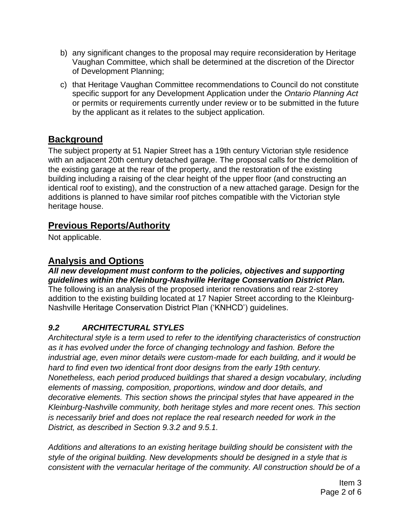- b) any significant changes to the proposal may require reconsideration by Heritage Vaughan Committee, which shall be determined at the discretion of the Director of Development Planning;
- c) that Heritage Vaughan Committee recommendations to Council do not constitute specific support for any Development Application under the *Ontario Planning Act*  or permits or requirements currently under review or to be submitted in the future by the applicant as it relates to the subject application.

# **Background**

The subject property at 51 Napier Street has a 19th century Victorian style residence with an adjacent 20th century detached garage. The proposal calls for the demolition of the existing garage at the rear of the property, and the restoration of the existing building including a raising of the clear height of the upper floor (and constructing an identical roof to existing), and the construction of a new attached garage. Design for the additions is planned to have similar roof pitches compatible with the Victorian style heritage house.

# **Previous Reports/Authority**

Not applicable.

# **Analysis and Options**

*All new development must conform to the policies, objectives and supporting guidelines within the Kleinburg-Nashville Heritage Conservation District Plan.* The following is an analysis of the proposed interior renovations and rear 2-storey addition to the existing building located at 17 Napier Street according to the Kleinburg-Nashville Heritage Conservation District Plan ('KNHCD') guidelines.

# *9.2 ARCHITECTURAL STYLES*

*Architectural style is a term used to refer to the identifying characteristics of construction as it has evolved under the force of changing technology and fashion. Before the industrial age, even minor details were custom-made for each building, and it would be hard to find even two identical front door designs from the early 19th century. Nonetheless, each period produced buildings that shared a design vocabulary, including elements of massing, composition, proportions, window and door details, and decorative elements. This section shows the principal styles that have appeared in the Kleinburg-Nashville community, both heritage styles and more recent ones. This section is necessarily brief and does not replace the real research needed for work in the District, as described in Section 9.3.2 and 9.5.1.*

*Additions and alterations to an existing heritage building should be consistent with the style of the original building. New developments should be designed in a style that is consistent with the vernacular heritage of the community. All construction should be of a*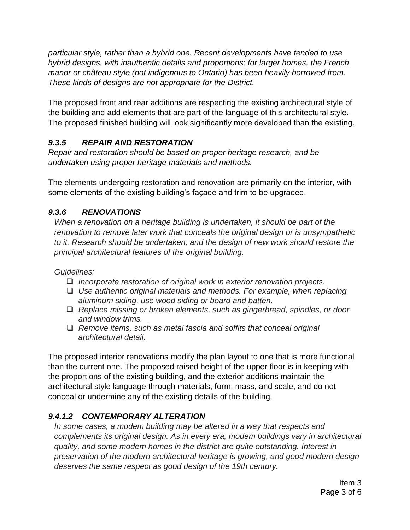*particular style, rather than a hybrid one. Recent developments have tended to use hybrid designs, with inauthentic details and proportions; for larger homes, the French manor or château style (not indigenous to Ontario) has been heavily borrowed from. These kinds of designs are not appropriate for the District.*

The proposed front and rear additions are respecting the existing architectural style of the building and add elements that are part of the language of this architectural style. The proposed finished building will look significantly more developed than the existing.

# *9.3.5 REPAIR AND RESTORATION*

*Repair and restoration should be based on proper heritage research, and be undertaken using proper heritage materials and methods.*

The elements undergoing restoration and renovation are primarily on the interior, with some elements of the existing building's façade and trim to be upgraded.

## *9.3.6 RENOVATIONS*

*When a renovation on a heritage building is undertaken, it should be part of the renovation to remove later work that conceals the original design or is unsympathetic to it. Research should be undertaken, and the design of new work should restore the principal architectural features of the original building.*

#### *Guidelines:*

- *Incorporate restoration of original work in exterior renovation projects.*
- *Use authentic original materials and methods. For example, when replacing aluminum siding, use wood siding or board and batten.*
- *Replace missing or broken elements, such as gingerbread, spindles, or door and window trims.*
- *Remove items, such as metal fascia and soffits that conceal original architectural detail.*

The proposed interior renovations modify the plan layout to one that is more functional than the current one. The proposed raised height of the upper floor is in keeping with the proportions of the existing building, and the exterior additions maintain the architectural style language through materials, form, mass, and scale, and do not conceal or undermine any of the existing details of the building.

## *9.4.1.2 CONTEMPORARY ALTERATION*

In some cases, a modem building may be altered in a way that respects and *complements its original design. As in every era, modem buildings vary in architectural quality, and some modem homes in the district are quite outstanding. Interest in preservation of the modern architectural heritage is growing, and good modern design deserves the same respect as good design of the 19th century.*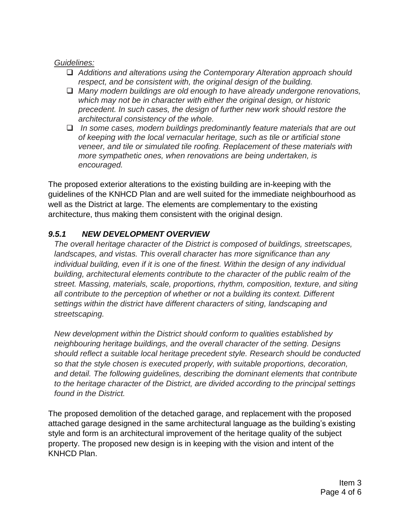#### *Guidelines:*

- *Additions and alterations using the Contemporary Alteration approach should respect, and be consistent with, the original design of the building.*
- *Many modern buildings are old enough to have already undergone renovations, which may not be in character with either the original design, or historic precedent. In such cases, the design of further new work should restore the architectural consistency of the whole.*
- *In some cases, modern buildings predominantly feature materials that are out of keeping with the local vernacular heritage, such as tile or artificial stone veneer, and tile or simulated tile roofing. Replacement of these materials with more sympathetic ones, when renovations are being undertaken, is encouraged.*

The proposed exterior alterations to the existing building are in-keeping with the guidelines of the KNHCD Plan and are well suited for the immediate neighbourhood as well as the District at large. The elements are complementary to the existing architecture, thus making them consistent with the original design.

#### *9.5.1 NEW DEVELOPMENT OVERVIEW*

*The overall heritage character of the District is composed of buildings, streetscapes, landscapes, and vistas. This overall character has more significance than any individual building, even if it is one of the finest. Within the design of any individual building, architectural elements contribute to the character of the public realm of the street. Massing, materials, scale, proportions, rhythm, composition, texture, and siting*  all contribute to the perception of whether or not a building its context. Different *settings within the district have different characters of siting, landscaping and streetscaping.*

*New development within the District should conform to qualities established by neighbouring heritage buildings, and the overall character of the setting. Designs should reflect a suitable local heritage precedent style. Research should be conducted so that the style chosen is executed properly, with suitable proportions, decoration, and detail. The following guidelines, describing the dominant elements that contribute to the heritage character of the District, are divided according to the principal settings found in the District.* 

The proposed demolition of the detached garage, and replacement with the proposed attached garage designed in the same architectural language as the building's existing style and form is an architectural improvement of the heritage quality of the subject property. The proposed new design is in keeping with the vision and intent of the KNHCD Plan.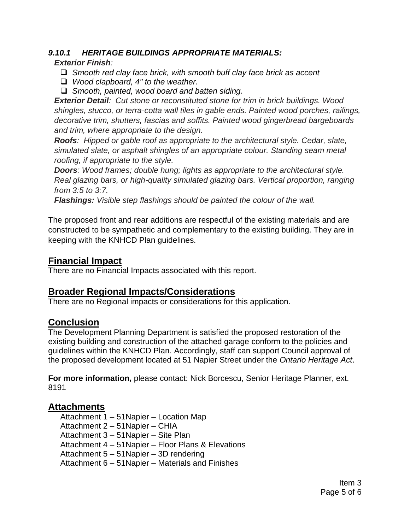#### *9.10.1 HERITAGE BUILDINGS APPROPRIATE MATERIALS:*

*Exterior Finish:*

- *Smooth red clay face brick, with smooth buff clay face brick as accent*
- *Wood clapboard, 4" to the weather.*
- *Smooth, painted, wood board and batten siding.*

*Exterior Detail: Cut stone or reconstituted stone for trim in brick buildings. Wood shingles, stucco, or terra-cotta wall tiles in gable ends. Painted wood porches, railings, decorative trim, shutters, fascias and soffits. Painted wood gingerbread bargeboards and trim, where appropriate to the design.* 

*Roofs: Hipped or gable roof as appropriate to the architectural style. Cedar, slate, simulated slate, or asphalt shingles of an appropriate colour. Standing seam metal roofing, if appropriate to the style.* 

*Doors: Wood frames; double hung; lights as appropriate to the architectural style. Real glazing bars, or high-quality simulated glazing bars. Vertical proportion, ranging from 3:5 to 3:7.* 

*Flashings: Visible step flashings should be painted the colour of the wall.*

The proposed front and rear additions are respectful of the existing materials and are constructed to be sympathetic and complementary to the existing building. They are in keeping with the KNHCD Plan guidelines.

# **Financial Impact**

There are no Financial Impacts associated with this report.

## **Broader Regional Impacts/Considerations**

There are no Regional impacts or considerations for this application.

#### **Conclusion**

The Development Planning Department is satisfied the proposed restoration of the existing building and construction of the attached garage conform to the policies and guidelines within the KNHCD Plan. Accordingly, staff can support Council approval of the proposed development located at 51 Napier Street under the *Ontario Heritage Act*.

**For more information,** please contact: Nick Borcescu, Senior Heritage Planner, ext. 8191

#### **Attachments**

Attachment 1 – 51Napier – Location Map Attachment 2 – 51Napier – CHIA Attachment 3 – 51Napier – Site Plan Attachment 4 – 51Napier – Floor Plans & Elevations Attachment 5 – 51Napier – 3D rendering Attachment 6 – 51Napier – Materials and Finishes